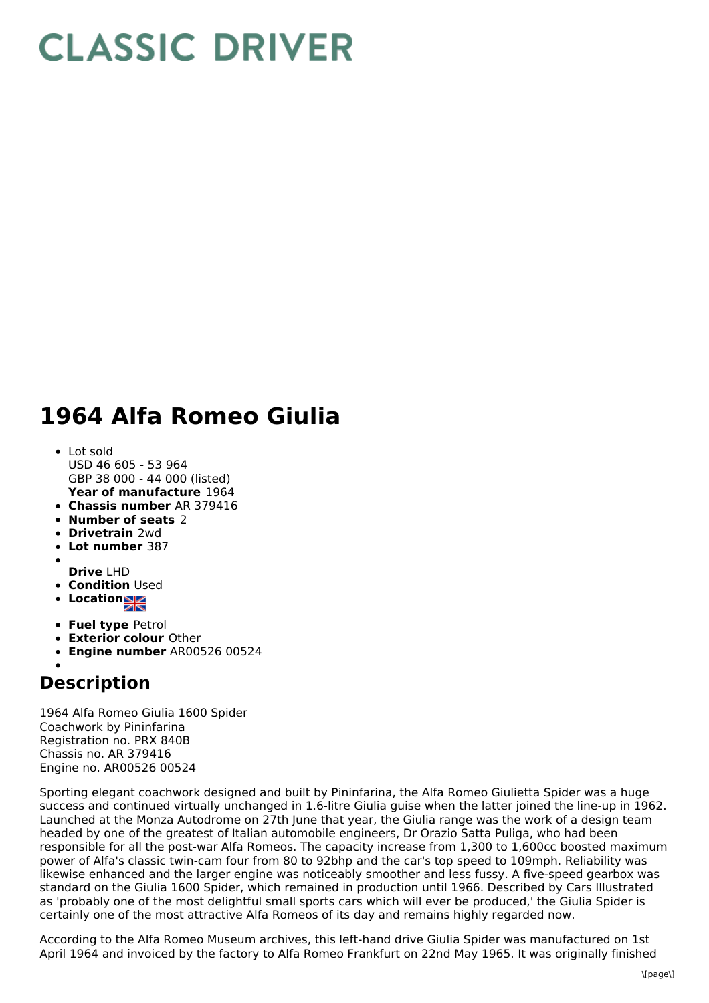## **CLASSIC DRIVER**

## **1964 Alfa Romeo Giulia**

- **Year of manufacture** 1964 Lot sold USD 46 605 - 53 964 GBP 38 000 - 44 000 (listed)
- **Chassis number** AR 379416
- **Number of seats** 2
- **Drivetrain** 2wd
- **Lot number** 387
- **Drive** LHD
- **Condition** Used
- Location<sub>al</sub>
- 
- **Fuel type** Petrol
- **Exterior colour** Other
- **Engine number** AR00526 00524

## **Description**

1964 Alfa Romeo Giulia 1600 Spider Coachwork by Pininfarina Registration no. PRX 840B Chassis no. AR 379416 Engine no. AR00526 00524

Sporting elegant coachwork designed and built by Pininfarina, the Alfa Romeo Giulietta Spider was a huge success and continued virtually unchanged in 1.6-litre Giulia guise when the latter joined the line-up in 1962. Launched at the Monza Autodrome on 27th June that year, the Giulia range was the work of a design team headed by one of the greatest of Italian automobile engineers, Dr Orazio Satta Puliga, who had been responsible for all the post-war Alfa Romeos. The capacity increase from 1,300 to 1,600cc boosted maximum power of Alfa's classic twin-cam four from 80 to 92bhp and the car's top speed to 109mph. Reliability was likewise enhanced and the larger engine was noticeably smoother and less fussy. A five-speed gearbox was standard on the Giulia 1600 Spider, which remained in production until 1966. Described by Cars Illustrated as 'probably one of the most delightful small sports cars which will ever be produced,' the Giulia Spider is certainly one of the most attractive Alfa Romeos of its day and remains highly regarded now.

According to the Alfa Romeo Museum archives, this left-hand drive Giulia Spider was manufactured on 1st April 1964 and invoiced by the factory to Alfa Romeo Frankfurt on 22nd May 1965. It was originally finished